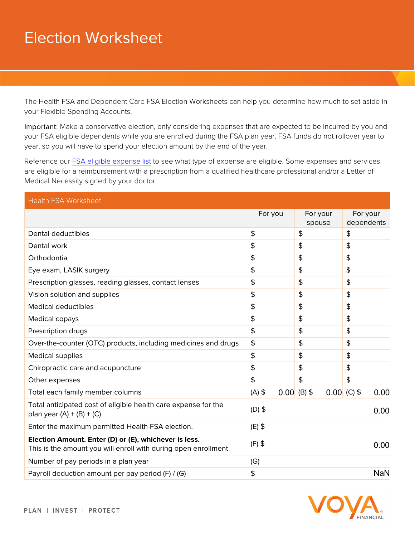## Election Worksheet

The Health FSA and Dependent Care FSA Election Worksheets can help you determine how much to set aside in your Flexible Spending Accounts.

Important: Make a conservative election, only considering expenses that are expected to be incurred by you and your FSA eligible dependents while you are enrolled during the FSA plan year. FSA funds do not rollover year to year, so you will have to spend your election amount by the end of the year.

Reference our FSA eligible expense list to see what type of expense are eligible. Some expenses and services are eligible for a reimbursement with a prescription from a qualified healthcare professional and/or a Letter of Medical Necessity signed by your doctor.

| <b>Health FSA Worksheet</b>                                                                                             |                  |                    |                        |
|-------------------------------------------------------------------------------------------------------------------------|------------------|--------------------|------------------------|
|                                                                                                                         | For you          | For your<br>spouse | For your<br>dependents |
| Dental deductibles                                                                                                      | \$               | \$                 | \$                     |
| Dental work                                                                                                             | \$               | \$                 | \$                     |
| Orthodontia                                                                                                             | \$               | \$                 | \$                     |
| Eye exam, LASIK surgery                                                                                                 | \$               | \$                 | \$                     |
| Prescription glasses, reading glasses, contact lenses                                                                   | \$               | \$                 | \$                     |
| Vision solution and supplies                                                                                            | \$               | \$                 | \$                     |
| <b>Medical deductibles</b>                                                                                              | \$               | \$                 | \$                     |
| Medical copays                                                                                                          | \$               | \$                 | \$                     |
| Prescription drugs                                                                                                      | \$               | \$                 | \$                     |
| Over-the-counter (OTC) products, including medicines and drugs                                                          | \$               | \$                 | \$                     |
| <b>Medical supplies</b>                                                                                                 | \$               | \$                 | \$                     |
| Chiropractic care and acupuncture                                                                                       | \$               | \$                 | \$                     |
| Other expenses                                                                                                          | \$               | \$                 | \$                     |
| Total each family member columns                                                                                        | $(A)$ \$<br>0.00 | $(B)$ \$           | $0.00$ (C) \$<br>0.00  |
| Total anticipated cost of eligible health care expense for the<br>plan year $(A) + (B) + (C)$                           | $(D)$ \$<br>0.00 |                    |                        |
| Enter the maximum permitted Health FSA election.                                                                        | $(E)$ \$         |                    |                        |
| Election Amount. Enter (D) or (E), whichever is less.<br>This is the amount you will enroll with during open enrollment | $(F)$ \$<br>0.00 |                    |                        |
| Number of pay periods in a plan year                                                                                    | (G)              |                    |                        |
| Payroll deduction amount per pay period (F) / (G)                                                                       | \$               |                    | <b>NaN</b>             |